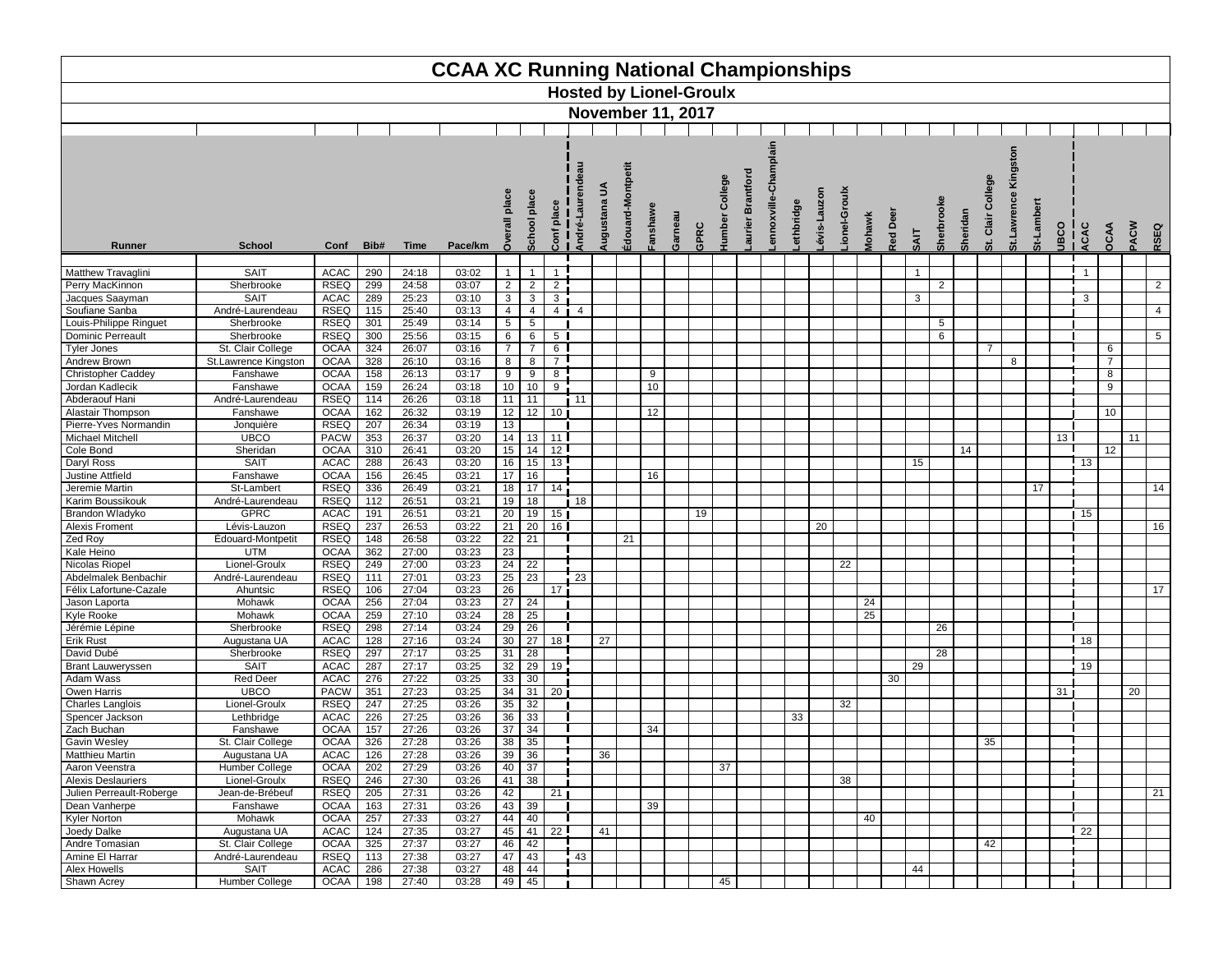

|                                             |                                 |                            |                  |                | <b>CCAA XC Running National Championships</b> |                                |                       |                     |                 |                                |                     |        |      |               |                 |       |                          |         |               |     |                |                 |                |                |             |                        |                 |                 |                |
|---------------------------------------------|---------------------------------|----------------------------|------------------|----------------|-----------------------------------------------|--------------------------------|-----------------------|---------------------|-----------------|--------------------------------|---------------------|--------|------|---------------|-----------------|-------|--------------------------|---------|---------------|-----|----------------|-----------------|----------------|----------------|-------------|------------------------|-----------------|-----------------|----------------|
|                                             |                                 |                            |                  |                |                                               |                                |                       |                     |                 | <b>Hosted by Lionel-Groulx</b> |                     |        |      |               |                 |       |                          |         |               |     |                |                 |                |                |             |                        |                 |                 |                |
|                                             |                                 |                            |                  |                |                                               |                                |                       |                     |                 | <b>November 11, 2017</b>       |                     |        |      |               |                 |       |                          |         |               |     |                |                 |                |                |             |                        |                 |                 |                |
|                                             |                                 |                            |                  |                |                                               |                                |                       |                     |                 |                                |                     |        |      |               |                 |       |                          |         |               |     |                |                 |                |                |             |                        |                 |                 |                |
|                                             |                                 |                            |                  |                |                                               |                                |                       |                     |                 |                                |                     |        |      |               |                 |       |                          |         |               |     |                |                 |                |                |             |                        |                 |                 |                |
|                                             |                                 |                            |                  |                |                                               |                                |                       |                     |                 |                                |                     |        |      |               |                 |       |                          |         |               |     |                |                 |                |                | Kingsto     |                        |                 |                 |                |
|                                             |                                 |                            |                  |                |                                               |                                |                       |                     |                 |                                | ontpetit            |        |      |               |                 |       |                          |         |               |     |                |                 |                |                |             |                        |                 |                 |                |
|                                             |                                 |                            |                  |                |                                               |                                |                       |                     |                 | 5                              |                     |        |      | College       | <b>Brantfor</b> |       |                          |         |               |     |                |                 |                | ollege         |             |                        |                 |                 |                |
|                                             |                                 |                            |                  |                |                                               |                                | place                 | ace                 |                 |                                |                     |        |      |               |                 |       |                          |         |               |     |                |                 |                | ت              |             | ច                      |                 |                 |                |
|                                             |                                 |                            |                  |                |                                               |                                |                       | ᅙ                   |                 | ugusta                         | wedsue <sup>.</sup> |        |      | <b>lumber</b> | aurier          | ennox | évis-Lauzon<br>ethbridge | ionel-G | <b>Mohawk</b> | Ď   |                |                 |                | Clair          |             |                        |                 |                 |                |
| Runner                                      | <b>School</b>                   | Conf                       | Bib#             | <b>Time</b>    | Pace/km                                       |                                | School                | Conf                | André-          |                                | Édouard-M           | Garnea | GPRC |               |                 |       |                          |         |               | Red | <b>TIAS</b>    | Sherbr          | <b>Sherida</b> | ູ່ສ            | St.Lawrence | St-Lamb<br><b>UBCO</b> | ACAC            | OCAA            | PACW<br>RSEQ   |
|                                             |                                 |                            |                  |                |                                               |                                |                       |                     |                 |                                |                     |        |      |               |                 |       |                          |         |               |     |                |                 |                |                |             |                        |                 |                 |                |
| Matthew Travaglini                          | <b>SAIT</b>                     | <b>ACAC</b>                | 290              | 24:18          | 03:02                                         | $\mathbf{1}$                   | $\mathbf{1}$          | $\overline{1}$      |                 |                                |                     |        |      |               |                 |       |                          |         |               |     | $\overline{1}$ |                 |                |                |             |                        |                 |                 |                |
| Perry MacKinnon                             | Sherbrooke                      | <b>RSEQ</b>                | 299              | 24:58          | 03:07                                         | $\overline{2}$                 | $\overline{2}$        | $\overline{2}$      |                 |                                |                     |        |      |               |                 |       |                          |         |               |     |                | 2               |                |                |             |                        |                 |                 | $\overline{2}$ |
| Jacques Saayman<br>Soufiane Sanba           | <b>SAIT</b><br>André-Laurendeau | <b>ACAC</b><br><b>RSEQ</b> | 289<br>115       | 25:23<br>25:40 | 03:10<br>03:13                                | $\mathbf{3}$<br>$\overline{4}$ | $\mathbf{3}$<br>4     | $\overline{3}$<br>4 | $\overline{4}$  |                                |                     |        |      |               |                 |       |                          |         |               |     | $\mathbf{3}$   |                 |                |                |             |                        | 3               |                 | $\overline{4}$ |
| Louis-Philippe Ringuet                      | Sherbrooke                      | <b>RSEQ</b>                | 301              | 25:49          | 03:14                                         | $5\phantom{.0}$                | $5\phantom{.0}$       |                     |                 |                                |                     |        |      |               |                 |       |                          |         |               |     |                | $5\overline{)}$ |                |                |             |                        |                 |                 |                |
| <b>Dominic Perreault</b>                    | Sherbrooke                      | <b>RSEQ</b>                | 300              | 25:56          | 03:15                                         | 6                              | 6                     | $5\overline{)}$     |                 |                                |                     |        |      |               |                 |       |                          |         |               |     |                | 6               |                |                |             |                        |                 |                 | 5              |
| <b>Tyler Jones</b>                          | St. Clair College               | <b>OCAA</b>                | 324              | 26:07          | 03:16                                         | $\overline{7}$                 | $\overline{7}$        | $6\overline{6}$     |                 |                                |                     |        |      |               |                 |       |                          |         |               |     |                |                 |                | $\overline{7}$ |             |                        |                 | 6               |                |
| <b>Andrew Brown</b>                         | St.Lawrence Kingston            | <b>OCAA</b>                | 328              | 26:10          | 03:16                                         | 8                              | 8                     | $\overline{7}$      |                 |                                |                     |        |      |               |                 |       |                          |         |               |     |                |                 |                |                | 8           |                        |                 | $\overline{7}$  |                |
| <b>Christopher Caddey</b>                   | Fanshawe                        | <b>OCAA</b>                | 158              | 26:13          | 03:17                                         | 9                              | 9                     | $\,8\,$             |                 |                                | 9                   |        |      |               |                 |       |                          |         |               |     |                |                 |                |                |             |                        |                 | 8               |                |
| Jordan Kadlecik<br>Abderaouf Hani           | Fanshawe<br>André-Laurendeau    | <b>OCAA</b><br><b>RSEQ</b> | 159<br>114       | 26:24<br>26:26 | 03:18<br>03:18                                | 10 <sub>1</sub><br>11          | 10 <sup>1</sup><br>11 | 9                   | 11              |                                | 10                  |        |      |               |                 |       |                          |         |               |     |                |                 |                |                |             |                        |                 | 9               |                |
| Alastair Thompson                           | Fanshawe                        | <b>OCAA</b>                | 162              | 26:32          | 03:19                                         | 12                             | 12                    | 10 <sub>l</sub>     |                 |                                | 12                  |        |      |               |                 |       |                          |         |               |     |                |                 |                |                |             |                        |                 | 10 <sup>°</sup> |                |
| Pierre-Yves Normandin                       | Jonquière                       | <b>RSEQ</b>                | 207              | 26:34          | 03:19                                         | 13                             |                       |                     |                 |                                |                     |        |      |               |                 |       |                          |         |               |     |                |                 |                |                |             |                        |                 |                 |                |
| <b>Michael Mitchell</b>                     | <b>UBCO</b>                     | <b>PACW</b>                | 353              | 26:37          | 03:20                                         | 14                             | 13                    | 11                  |                 |                                |                     |        |      |               |                 |       |                          |         |               |     |                |                 |                |                |             |                        | 13 <sup>1</sup> |                 | 11             |
| Cole Bond                                   | Sheridan                        | <b>OCAA</b>                | 310              | 26:41          | 03:20                                         | 15                             | 14                    | 12 <sup>1</sup>     |                 |                                |                     |        |      |               |                 |       |                          |         |               |     |                |                 | 14             |                |             |                        |                 | 12              |                |
| Daryl Ross<br>Justine Attfield              | <b>SAIT</b><br>Fanshawe         | <b>ACAC</b><br><b>OCAA</b> | 288<br>156       | 26:43<br>26:45 | 03:20<br>03:21                                | 16<br>17                       | 15<br>$\overline{16}$ | 13                  |                 |                                | 16                  |        |      |               |                 |       |                          |         |               |     | 15             |                 |                |                |             |                        | 13              |                 |                |
| Jeremie Martin                              | St-Lambert                      | <b>RSEQ</b>                | 336              | 26:49          | 03:21                                         | 18                             |                       | $17$   14           |                 |                                |                     |        |      |               |                 |       |                          |         |               |     |                |                 |                |                |             | 17                     |                 |                 | 14             |
| Karim Boussikouk                            | André-Laurendeau                | <b>RSEQ</b>                | 112              | 26:51          | 03:21                                         | 19                             | 18                    |                     | 18              |                                |                     |        |      |               |                 |       |                          |         |               |     |                |                 |                |                |             |                        |                 |                 |                |
| Brandon Wladyko                             | <b>GPRC</b>                     | <b>ACAC</b>                | 191              | 26:51          | 03:21                                         | 20                             | 19                    | 15 <sub>1</sub>     |                 |                                |                     |        | 19   |               |                 |       |                          |         |               |     |                |                 |                |                |             |                        | 15              |                 |                |
| <b>Alexis Froment</b>                       | Lévis-Lauzon                    | <b>RSEQ</b>                | 237              | 26:53          | 03:22                                         | $\overline{21}$                | 20                    | 16 <sup>1</sup>     |                 |                                |                     |        |      |               |                 |       |                          | 20      |               |     |                |                 |                |                |             |                        |                 |                 | 16             |
| Zed Roy<br>Kale Heino                       | Édouard-Montpetit<br><b>UTM</b> | <b>RSEQ</b><br><b>OCAA</b> | 148<br>362       | 26:58<br>27:00 | 03:22<br>03:23                                | 22<br>$\overline{23}$          | 21                    |                     |                 |                                | 21                  |        |      |               |                 |       |                          |         |               |     |                |                 |                |                |             |                        |                 |                 |                |
| Nicolas Riopel                              | Lionel-Groulx                   | <b>RSEQ</b>                | 249              | 27:00          | 03:23                                         | $\overline{24}$                | 22                    |                     |                 |                                |                     |        |      |               |                 |       |                          | 22      |               |     |                |                 |                |                |             |                        |                 |                 |                |
| Abdelmalek Benbachir                        | André-Laurendeau                | <b>RSEQ</b>                | 111              | 27:01          | 03:23                                         | $\overline{25}$                | 23                    |                     | $\overline{23}$ |                                |                     |        |      |               |                 |       |                          |         |               |     |                |                 |                |                |             |                        |                 |                 |                |
| Félix Lafortune-Cazale                      | Ahuntsic                        | <b>RSEQ</b>                | 106              | 27:04          | 03:23                                         | $\overline{26}$                |                       | 17                  |                 |                                |                     |        |      |               |                 |       |                          |         |               |     |                |                 |                |                |             |                        |                 |                 | 17             |
| Jason Laporta                               | Mohawk                          | <b>OCAA</b>                | 256              | 27:04          | 03:23                                         | 27                             | 24                    |                     |                 |                                |                     |        |      |               |                 |       |                          |         | 24            |     |                |                 |                |                |             |                        |                 |                 |                |
| Kyle Rooke<br>Jérémie Lépine                | Mohawk<br>Sherbrooke            | <b>OCAA</b><br><b>RSEQ</b> | 259<br>298       | 27:10<br>27:14 | 03:24<br>03:24                                | $\overline{28}$<br>29          | $\overline{25}$<br>26 |                     |                 |                                |                     |        |      |               |                 |       |                          |         | 25            |     |                | 26              |                |                |             |                        |                 |                 |                |
| <b>Erik Rust</b>                            | Augustana UA                    | ACAC                       | 128              | 27:16          | 03:24                                         | 30                             | 27                    | 18 <u>I</u>         |                 | 27                             |                     |        |      |               |                 |       |                          |         |               |     |                |                 |                |                |             |                        | 18              |                 |                |
| David Dubé                                  | Sherbrooke                      | <b>RSEQ</b>                | 297              | 27:17          | 03:25                                         | 31                             | 28                    |                     |                 |                                |                     |        |      |               |                 |       |                          |         |               |     |                | 28              |                |                |             |                        |                 |                 |                |
| <b>Brant Lauweryssen</b>                    | <b>SAIT</b>                     | <b>ACAC</b>                | 287              | 27:17          | 03:25                                         | $\overline{32}$                | 29                    | 19                  |                 |                                |                     |        |      |               |                 |       |                          |         |               |     | 29             |                 |                |                |             |                        | 19              |                 |                |
| Adam Wass                                   | Red Deer                        | ACAC                       | 276              | 27:22          | 03:25                                         | 33 <sup>°</sup>                | $\overline{30}$       |                     |                 |                                |                     |        |      |               |                 |       |                          |         |               | 30  |                |                 |                |                |             |                        |                 |                 |                |
| Owen Harris<br><b>Charles Langlois</b>      | <b>UBCO</b><br>Lionel-Groulx    | <b>PACW</b><br><b>RSEQ</b> | 351<br>247       | 27:23<br>27:25 | 03:25<br>03:26                                | $\overline{34}$<br>35          | 31<br>32              | 20                  |                 |                                |                     |        |      |               |                 |       |                          | 32      |               |     |                |                 |                |                |             | 31                     |                 |                 | 20             |
| Spencer Jackson                             | Lethbridge                      | ACAC                       | 226              | 27:25          | 03:26                                         | $\overline{36}$                | 33                    |                     |                 |                                |                     |        |      |               |                 |       | 33                       |         |               |     |                |                 |                |                |             |                        |                 |                 |                |
| Zach Buchan                                 | Fanshawe                        | <b>OCAA</b>                | 157              | 27:26          | 03:26                                         | 37                             | 34                    |                     |                 |                                | 34                  |        |      |               |                 |       |                          |         |               |     |                |                 |                |                |             |                        |                 |                 |                |
| <b>Gavin Wesley</b>                         | St. Clair College               | <b>OCAA</b>                | 326              | 27:28          | 03:26                                         | 38                             | 35                    |                     |                 |                                |                     |        |      |               |                 |       |                          |         |               |     |                |                 |                | 35             |             |                        |                 |                 |                |
| <b>Matthieu Martin</b>                      | Augustana UA                    | ACAC                       | 126              | 27:28          | 03:26                                         | 39                             | 36                    |                     |                 | 36                             |                     |        |      |               |                 |       |                          |         |               |     |                |                 |                |                |             |                        |                 |                 |                |
| Aaron Veenstra<br><b>Alexis Deslauriers</b> | Humber College<br>Lionel-Groulx | <b>OCAA</b><br><b>RSEQ</b> | 202<br>246       | 27:29<br>27:30 | 03:26<br>03:26                                | 40<br>41                       | $\overline{37}$<br>38 |                     |                 |                                |                     |        |      | 37            |                 |       |                          |         |               |     |                |                 |                |                |             |                        |                 |                 |                |
| Julien Perreault-Roberge                    | Jean-de-Brébeuf                 | <b>RSEQ</b>                | 205              | 27:31          | 03:26                                         | 42                             |                       | 21                  |                 |                                |                     |        |      |               |                 |       |                          | 38      |               |     |                |                 |                |                |             |                        |                 |                 | 21             |
| Dean Vanherpe                               | Fanshawe                        | <b>OCAA</b>                | 163              | 27:31          | 03:26                                         | 43                             | 39                    |                     |                 |                                | 39                  |        |      |               |                 |       |                          |         |               |     |                |                 |                |                |             |                        |                 |                 |                |
| <b>Kyler Norton</b>                         | Mohawk                          | <b>OCAA</b>                | 257              | 27:33          | 03:27                                         | 44                             | 40                    |                     |                 |                                |                     |        |      |               |                 |       |                          |         | 40            |     |                |                 |                |                |             |                        |                 |                 |                |
| Joedy Dalke                                 | Augustana UA                    | ACAC                       | $\overline{124}$ | 27:35          | 03:27                                         | 45                             | 41                    | 22                  |                 | 41                             |                     |        |      |               |                 |       |                          |         |               |     |                |                 |                |                |             |                        | 22              |                 |                |
| Andre Tomasian<br>Amine El Harrar           | St. Clair College               | <b>OCAA</b>                | 325              | 27:37          | 03:27                                         | 46<br>47                       | 42                    |                     |                 |                                |                     |        |      |               |                 |       |                          |         |               |     |                |                 |                | 42             |             |                        |                 |                 |                |
| Alex Howells                                | André-Laurendeau<br><b>SAIT</b> | <b>RSEQ</b><br>ACAC        | 113<br>286       | 27:38<br>27:38 | 03:27<br>03:27                                | 48                             | 43<br>44              |                     | 43              |                                |                     |        |      |               |                 |       |                          |         |               |     | 44             |                 |                |                |             |                        |                 |                 |                |
| Shawn Acrey                                 | Humber College                  | <b>OCAA</b>                | 198              | 27:40          | 03:28                                         | 49                             | 45                    |                     |                 |                                |                     |        |      | 45            |                 |       |                          |         |               |     |                |                 |                |                |             |                        |                 |                 |                |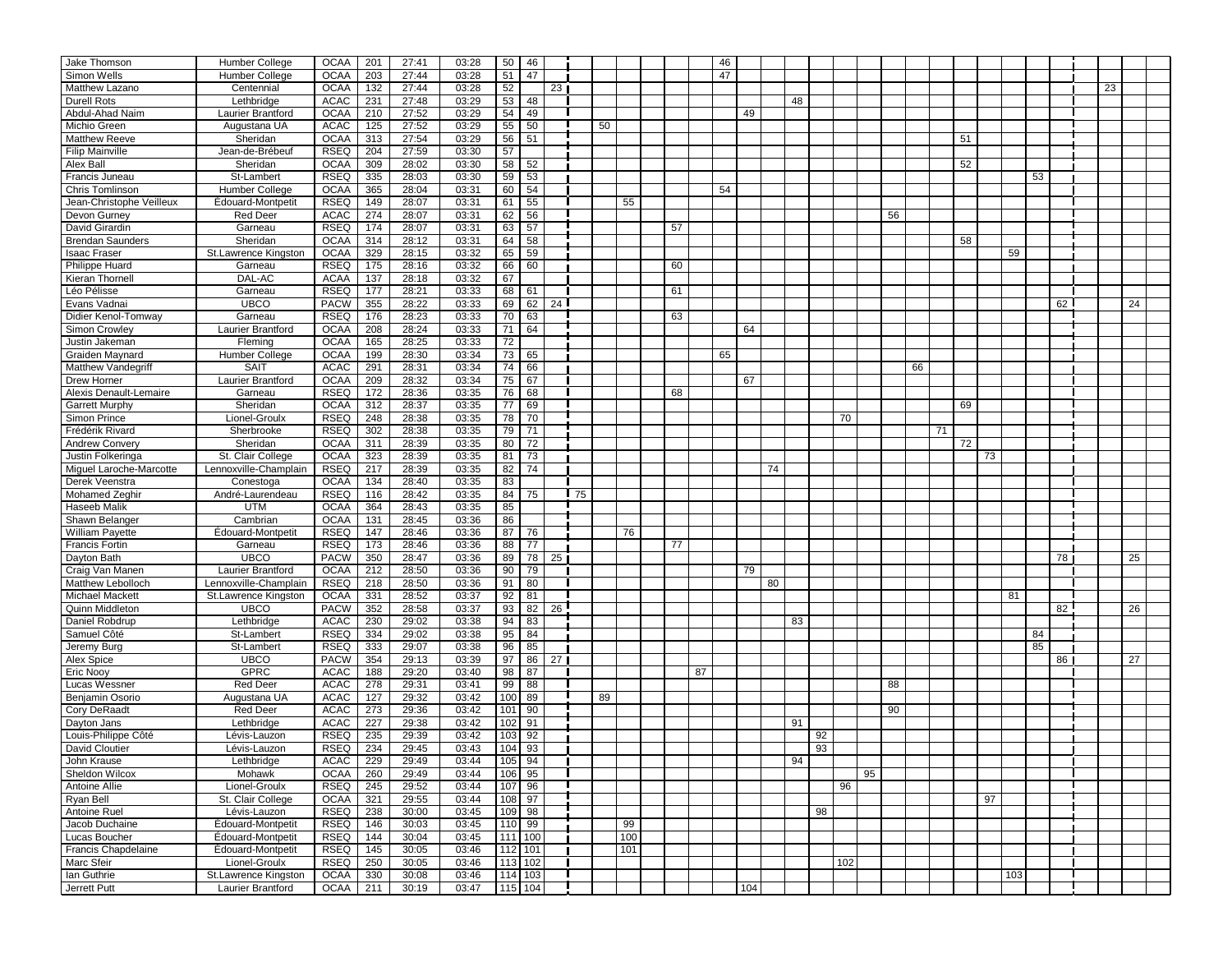| Jake Thomson                  | Humber College           | <b>OCAA</b> | 201        | 27:41          | 03:28 | 50                    | 46 |                 |    |    |     |    | 46 |     |    |    |     |    |    |    |    |     |    |    |    |  |
|-------------------------------|--------------------------|-------------|------------|----------------|-------|-----------------------|----|-----------------|----|----|-----|----|----|-----|----|----|-----|----|----|----|----|-----|----|----|----|--|
| Simon Wells                   | Humber College           | <b>OCAA</b> | 203        | 27:44          | 03:28 | 51                    | 47 |                 |    |    |     |    | 47 |     |    |    |     |    |    |    |    |     |    |    |    |  |
| Matthew Lazano                | Centennial               | <b>OCAA</b> | 132        | 27:44          | 03:28 | 52                    |    | 23              |    |    |     |    |    |     |    |    |     |    |    |    |    |     |    | 23 |    |  |
| <b>Durell Rots</b>            | Lethbridge               | <b>ACAC</b> | 231        | 27:48          | 03:29 | 53                    | 48 |                 |    |    |     |    |    |     |    | 48 |     |    |    |    |    |     |    |    |    |  |
| Abdul-Ahad Naim               | Laurier Brantford        | <b>OCAA</b> | 210        | 27:52          | 03:29 | 54                    | 49 |                 |    |    |     |    |    | 49  |    |    |     |    |    |    |    |     |    |    |    |  |
| Michio Green                  | Augustana UA             | <b>ACAC</b> | 125        | 27:52          | 03:29 | $\overline{55}$       | 50 |                 |    | 50 |     |    |    |     |    |    |     |    |    |    |    |     |    |    |    |  |
| <b>Matthew Reeve</b>          | Sheridan                 |             |            |                |       |                       |    |                 |    |    |     |    |    |     |    |    |     |    |    |    |    |     |    |    |    |  |
|                               |                          | <b>OCAA</b> | 313<br>204 | 27:54<br>27:59 | 03:29 | 56<br>$\overline{57}$ | 51 |                 |    |    |     |    |    |     |    |    |     |    |    |    | 51 |     |    |    |    |  |
| <b>Filip Mainville</b>        | Jean-de-Brébeuf          | <b>RSEQ</b> |            |                | 03:30 |                       |    |                 |    |    |     |    |    |     |    |    |     |    |    |    |    |     |    |    |    |  |
| Alex Ball                     | Sheridan                 | <b>OCAA</b> | 309        | 28:02          | 03:30 | 58                    | 52 |                 |    |    |     |    |    |     |    |    |     |    |    |    | 52 |     |    |    |    |  |
| Francis Juneau                | St-Lambert               | <b>RSEQ</b> | 335        | 28:03          | 03:30 | $\overline{59}$       | 53 |                 |    |    |     |    |    |     |    |    |     |    |    |    |    | 53  |    |    |    |  |
| Chris Tomlinson               | Humber College           | <b>OCAA</b> | 365        | 28:04          | 03:31 | 60                    | 54 |                 |    |    |     |    | 54 |     |    |    |     |    |    |    |    |     |    |    |    |  |
| Jean-Christophe Veilleux      | Édouard-Montpetit        | <b>RSEQ</b> | 149        | 28:07          | 03:31 | 61                    | 55 |                 |    |    | 55  |    |    |     |    |    |     |    |    |    |    |     |    |    |    |  |
| Devon Gurney                  | <b>Red Deer</b>          | <b>ACAC</b> | 274        | 28:07          | 03:31 | 62                    | 56 |                 |    |    |     |    |    |     |    |    |     | 56 |    |    |    |     |    |    |    |  |
| David Girardin                | Garneau                  | <b>RSEQ</b> | 174        | 28:07          | 03:31 | 63                    | 57 |                 |    |    |     | 57 |    |     |    |    |     |    |    |    |    |     |    |    |    |  |
| <b>Brendan Saunders</b>       | Sheridan                 | <b>OCAA</b> | 314        | 28:12          | 03:31 | 64                    | 58 |                 |    |    |     |    |    |     |    |    |     |    |    |    | 58 |     |    |    |    |  |
| <b>Isaac Fraser</b>           | St.Lawrence Kingston     | <b>OCAA</b> | 329        | 28:15          | 03:32 | 65                    | 59 |                 |    |    |     |    |    |     |    |    |     |    |    |    |    | 59  |    |    |    |  |
| <b>Philippe Huard</b>         | Garneau                  | <b>RSEQ</b> | 175        | 28:16          | 03:32 | 66                    | 60 |                 |    |    |     | 60 |    |     |    |    |     |    |    |    |    |     |    |    |    |  |
| <b>Kieran Thornell</b>        | DAL-AC                   | <b>ACAA</b> | 137        | 28:18          | 03:32 | 67                    |    |                 |    |    |     |    |    |     |    |    |     |    |    |    |    |     |    |    |    |  |
| Léo Pélisse                   | Garneau                  | <b>RSEQ</b> | 177        | 28:21          | 03:33 | 68                    | 61 |                 |    |    |     | 61 |    |     |    |    |     |    |    |    |    |     |    |    |    |  |
| Evans Vadnai                  | <b>UBCO</b>              | <b>PACW</b> | 355        | 28:22          | 03:33 | 69                    | 62 | 24              |    |    |     |    |    |     |    |    |     |    |    |    |    |     | 62 |    | 24 |  |
| Didier Kenol-Tomway           | Garneau                  | <b>RSEQ</b> | 176        | 28:23          | 03:33 | 70                    | 63 |                 |    |    |     | 63 |    |     |    |    |     |    |    |    |    |     |    |    |    |  |
| Simon Crowley                 | Laurier Brantford        | <b>OCAA</b> | 208        | 28:24          | 03:33 | 71                    | 64 |                 |    |    |     |    |    | 64  |    |    |     |    |    |    |    |     |    |    |    |  |
| Justin Jakeman                | Fleming                  | <b>OCAA</b> | 165        | 28:25          | 03:33 | 72                    |    |                 |    |    |     |    |    |     |    |    |     |    |    |    |    |     |    |    |    |  |
| <b>Graiden Maynard</b>        | Humber College           | <b>OCAA</b> | 199        | 28:30          | 03:34 | 73                    | 65 |                 |    |    |     |    | 65 |     |    |    |     |    |    |    |    |     |    |    |    |  |
| Matthew Vandegriff            | <b>SAIT</b>              | <b>ACAC</b> | 291        | 28:31          | 03:34 | 74                    | 66 |                 |    |    |     |    |    |     |    |    |     |    | 66 |    |    |     |    |    |    |  |
| Drew Horner                   | <b>Laurier Brantford</b> | <b>OCAA</b> | 209        | 28:32          | 03:34 | 75                    | 67 |                 |    |    |     |    |    | 67  |    |    |     |    |    |    |    |     |    |    |    |  |
| <b>Alexis Denault-Lemaire</b> | Garneau                  | <b>RSEQ</b> | 172        | 28:36          | 03:35 | $\overline{76}$       | 68 |                 |    |    |     | 68 |    |     |    |    |     |    |    |    |    |     |    |    |    |  |
| <b>Garrett Murphy</b>         | Sheridan                 | <b>OCAA</b> | 312        | 28:37          | 03:35 | 77                    | 69 |                 |    |    |     |    |    |     |    |    |     |    |    |    | 69 |     |    |    |    |  |
| Simon Prince                  | Lionel-Groulx            | <b>RSEQ</b> | 248        | 28:38          | 03:35 | 78                    | 70 |                 |    |    |     |    |    |     |    |    | 70  |    |    |    |    |     |    |    |    |  |
| Frédérik Rivard               | Sherbrooke               | <b>RSEQ</b> | 302        | 28:38          | 03:35 | 79                    | 71 |                 |    |    |     |    |    |     |    |    |     |    |    | 71 |    |     |    |    |    |  |
| <b>Andrew Convery</b>         | Sheridan                 | <b>OCAA</b> | 311        | 28:39          | 03:35 | 80                    | 72 |                 |    |    |     |    |    |     |    |    |     |    |    |    | 72 |     |    |    |    |  |
| Justin Folkeringa             | St. Clair College        | <b>OCAA</b> | 323        | 28:39          | 03:35 | 81                    | 73 |                 |    |    |     |    |    |     |    |    |     |    |    |    | 73 |     |    |    |    |  |
| Miguel Laroche-Marcotte       | Lennoxville-Champlain    | <b>RSEQ</b> | 217        | 28:39          | 03:35 | 82                    | 74 |                 |    |    |     |    |    |     | 74 |    |     |    |    |    |    |     |    |    |    |  |
| Derek Veenstra                | Conestoga                | <b>OCAA</b> | 134        | 28:40          | 03:35 | 83                    |    |                 |    |    |     |    |    |     |    |    |     |    |    |    |    |     |    |    |    |  |
| <b>Mohamed Zeghir</b>         | André-Laurendeau         | <b>RSEQ</b> | 116        | 28:42          | 03:35 | 84                    | 75 |                 | 75 |    |     |    |    |     |    |    |     |    |    |    |    |     |    |    |    |  |
| Haseeb Malik                  | <b>UTM</b>               | <b>OCAA</b> | 364        | 28:43          | 03:35 | 85                    |    |                 |    |    |     |    |    |     |    |    |     |    |    |    |    |     |    |    |    |  |
| Shawn Belanger                | Cambrian                 | <b>OCAA</b> | 131        | 28:45          | 03:36 | 86                    |    |                 |    |    |     |    |    |     |    |    |     |    |    |    |    |     |    |    |    |  |
| <b>William Payette</b>        | Édouard-Montpetit        | <b>RSEQ</b> | 147        | 28:46          | 03:36 | 87                    | 76 |                 |    |    | 76  |    |    |     |    |    |     |    |    |    |    |     |    |    |    |  |
| <b>Francis Fortin</b>         | Garneau                  | <b>RSEQ</b> | 173        | 28:46          | 03:36 | 88                    | 77 |                 |    |    |     | 77 |    |     |    |    |     |    |    |    |    |     |    |    |    |  |
| Dayton Bath                   | <b>UBCO</b>              | <b>PACW</b> | 350        | 28:47          | 03:36 | 89                    | 78 | 25 <sub>1</sub> |    |    |     |    |    |     |    |    |     |    |    |    |    |     | 78 |    | 25 |  |
| Craig Van Manen               | Laurier Brantford        | <b>OCAA</b> | 212        | 28:50          | 03:36 | 90                    | 79 |                 |    |    |     |    |    | 79  |    |    |     |    |    |    |    |     |    |    |    |  |
| Matthew Lebolloch             | Lennoxville-Champlain    | <b>RSEQ</b> | 218        | 28:50          | 03:36 | 91                    | 80 |                 |    |    |     |    |    |     | 80 |    |     |    |    |    |    |     |    |    |    |  |
| Michael Mackett               | St.Lawrence Kingston     | <b>OCAA</b> | 331        | 28:52          | 03:37 | 92                    | 81 |                 |    |    |     |    |    |     |    |    |     |    |    |    |    | 81  |    |    |    |  |
| Quinn Middleton               | <b>UBCO</b>              | <b>PACW</b> | 352        | 28:58          | 03:37 | 93                    | 82 | 26              |    |    |     |    |    |     |    |    |     |    |    |    |    |     | 82 |    | 26 |  |
| Daniel Robdrup                | Lethbridge               | ACAC        | 230        | 29:02          | 03:38 | 94                    | 83 |                 |    |    |     |    |    |     |    | 83 |     |    |    |    |    |     |    |    |    |  |
| Samuel Côté                   | St-Lambert               | <b>RSEQ</b> | 334        | 29:02          | 03:38 | 95                    | 84 |                 |    |    |     |    |    |     |    |    |     |    |    |    |    | 84  |    |    |    |  |
| Jeremy Burg                   | St-Lambert               | <b>RSEQ</b> | 333        | 29:07          | 03:38 | $\overline{96}$       | 85 |                 |    |    |     |    |    |     |    |    |     |    |    |    |    | 85  |    |    |    |  |
| Alex Spice                    | <b>UBCO</b>              | <b>PACW</b> | 354        | 29:13          | 03:39 | 97                    | 86 | 27              |    |    |     |    |    |     |    |    |     |    |    |    |    |     | 86 |    | 27 |  |
| <b>Eric Nooy</b>              | <b>GPRC</b>              | <b>ACAC</b> | 188        | 29:20          | 03:40 | 98                    | 87 |                 |    |    |     | 87 |    |     |    |    |     |    |    |    |    |     |    |    |    |  |
| Lucas Wessner                 | <b>Red Deer</b>          | <b>ACAC</b> | 278        | 29:31          | 03:41 | 99                    | 88 |                 |    |    |     |    |    |     |    |    |     | 88 |    |    |    |     |    |    |    |  |
| Benjamin Osorio               | Augustana UA             | ACAC        | 127        | 29:32          | 03:42 | 100                   | 89 |                 |    | 89 |     |    |    |     |    |    |     |    |    |    |    |     |    |    |    |  |
| <b>Cory DeRaadt</b>           | <b>Red Deer</b>          | <b>ACAC</b> | 273        | 29:36          | 03:42 | 101                   | 90 |                 |    |    |     |    |    |     |    |    |     | 90 |    |    |    |     |    |    |    |  |
| Dayton Jans                   | Lethbridge               | <b>ACAC</b> | 227        | 29:38          | 03:42 | 102                   | 91 |                 |    |    |     |    |    |     |    | 91 |     |    |    |    |    |     |    |    |    |  |
| Louis-Philippe Côté           | Lévis-Lauzon             | <b>RSEQ</b> | 235        | 29:39          | 03:42 | 103                   | 92 |                 |    |    |     |    |    |     |    | 92 |     |    |    |    |    |     |    |    |    |  |
| <b>David Cloutier</b>         | Lévis-Lauzon             | <b>RSEQ</b> | 234        | 29:45          | 03:43 | 104                   | 93 |                 |    |    |     |    |    |     |    | 93 |     |    |    |    |    |     |    |    |    |  |
| John Krause                   | Lethbridge               | ACAC        | 229        | 29:49          | 03:44 | 105                   | 94 |                 |    |    |     |    |    |     |    | 94 |     |    |    |    |    |     |    |    |    |  |
| Sheldon Wilcox                | Mohawk                   | <b>OCAA</b> | 260        | 29:49          | 03:44 | 106                   | 95 |                 |    |    |     |    |    |     |    |    | 95  |    |    |    |    |     |    |    |    |  |
| Antoine Allie                 | Lionel-Groulx            | <b>RSEQ</b> | 245        | 29:52          | 03:44 | 107                   | 96 |                 |    |    |     |    |    |     |    |    | 96  |    |    |    |    |     |    |    |    |  |
| Ryan Bell                     | St. Clair College        | <b>OCAA</b> | 321        | 29:55          | 03:44 | 108                   | 97 |                 |    |    |     |    |    |     |    |    |     |    |    |    | 97 |     |    |    |    |  |
| Antoine Ruel                  | Lévis-Lauzon             | <b>RSEQ</b> | 238        | 30:00          | 03:45 | 109                   | 98 |                 |    |    |     |    |    |     |    | 98 |     |    |    |    |    |     |    |    |    |  |
| Jacob Duchaine                | Édouard-Montpetit        | <b>RSEQ</b> | 146        | 30:03          | 03:45 | 110                   | 99 |                 |    |    | 99  |    |    |     |    |    |     |    |    |    |    |     |    |    |    |  |
| Lucas Boucher                 | Édouard-Montpetit        | <b>RSEQ</b> | 144        | 30:04          | 03:45 | $111$ 100             |    |                 |    |    | 100 |    |    |     |    |    |     |    |    |    |    |     |    |    |    |  |
| <b>Francis Chapdelaine</b>    | Édouard-Montpetit        | <b>RSEQ</b> | 145        | 30:05          | 03:46 | $112$ 101             |    |                 |    |    | 101 |    |    |     |    |    |     |    |    |    |    |     |    |    |    |  |
| Marc Sfeir                    | Lionel-Groulx            | <b>RSEQ</b> | 250        | 30:05          | 03:46 | $113$ 102             |    |                 |    |    |     |    |    |     |    |    | 102 |    |    |    |    |     |    |    |    |  |
| lan Guthrie                   | St.Lawrence Kingston     | <b>OCAA</b> | 330        | 30:08          | 03:46 | $114$ 103             |    |                 |    |    |     |    |    |     |    |    |     |    |    |    |    | 103 |    |    |    |  |
| Jerrett Putt                  | Laurier Brantford        | <b>OCAA</b> | 211        | 30:19          | 03:47 | $115$ 104             |    |                 |    |    |     |    |    | 104 |    |    |     |    |    |    |    |     |    |    |    |  |